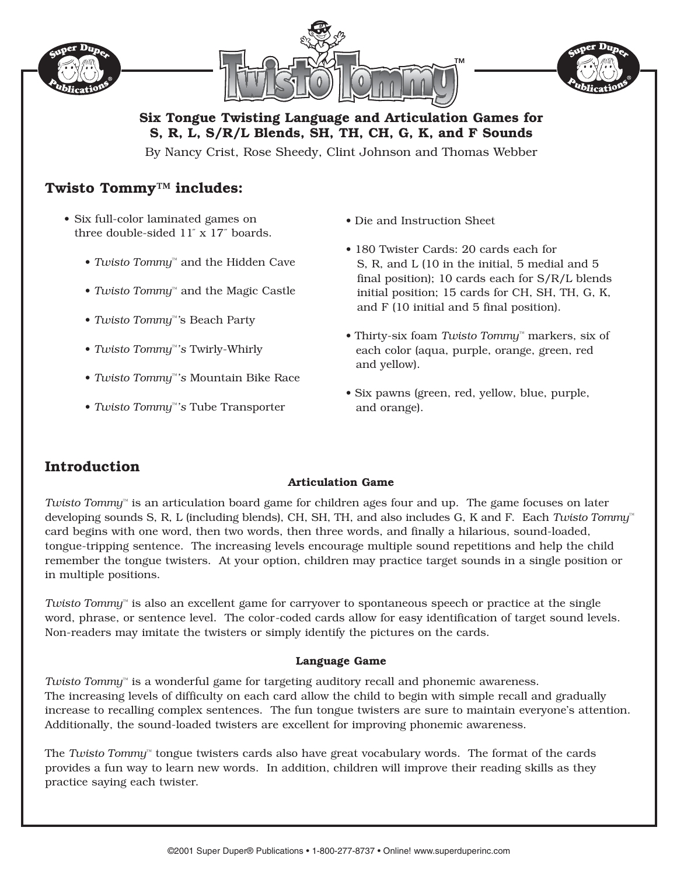





**Six Tongue Twisting Language and Articulation Games for S, R, L, S/R/L Blends, SH, TH, CH, G, K, and F Sounds**

By Nancy Crist, Rose Sheedy, Clint Johnson and Thomas Webber

## **Twisto Tommy™ includes:**

- Six full-color laminated games on three double-sided 11˝ x 17˝ boards.
	- *Twisto Tommy™* and the Hidden Cave
	- *Twisto Tommy™* and the Magic Castle
	- *Twisto Tommy™'*s Beach Party
	- *Twisto Tommy™'s* Twirly-Whirly
	- *Twisto Tommy™'s* Mountain Bike Race
	- *Twisto Tommy™'s* Tube Transporter
- Die and Instruction Sheet
- 180 Twister Cards: 20 cards each for S, R, and L (10 in the initial, 5 medial and 5 final position); 10 cards each for S/R/L blends initial position; 15 cards for CH, SH, TH, G, K, and F (10 initial and 5 final position).
- Thirty-six foam *Twisto Tommy™* markers, six of each color (aqua, purple, orange, green, red and yellow).
- Six pawns (green, red, yellow, blue, purple, and orange).

# **Introduction**

### **Articulation Game**

*Twisto Tommy™* is an articulation board game for children ages four and up. The game focuses on later developing sounds S, R, L (including blends), CH, SH, TH, and also includes G, K and F. Each *Twisto Tommy™* card begins with one word, then two words, then three words, and finally a hilarious, sound-loaded, tongue-tripping sentence. The increasing levels encourage multiple sound repetitions and help the child remember the tongue twisters. At your option, children may practice target sounds in a single position or in multiple positions.

*Twisto Tommy™* is also an excellent game for carryover to spontaneous speech or practice at the single word, phrase, or sentence level. The color-coded cards allow for easy identification of target sound levels. Non-readers may imitate the twisters or simply identify the pictures on the cards.

#### **Language Game**

*Twisto Tommy™* is a wonderful game for targeting auditory recall and phonemic awareness. The increasing levels of difficulty on each card allow the child to begin with simple recall and gradually increase to recalling complex sentences. The fun tongue twisters are sure to maintain everyone's attention. Additionally, the sound-loaded twisters are excellent for improving phonemic awareness.

The *Twisto Tommy™* tongue twisters cards also have great vocabulary words. The format of the cards provides a fun way to learn new words. In addition, children will improve their reading skills as they practice saying each twister.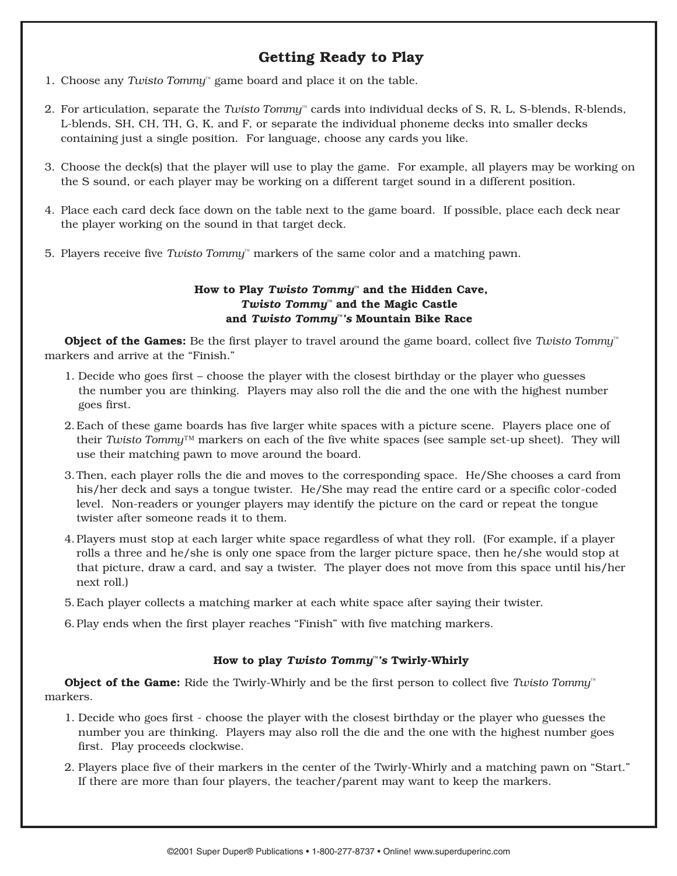# **Getting Ready to Play**

- 1. Choose any *Twisto Tommy™* game board and place it on the table.
- 2. For articulation, separate the *Twisto Tommy™* cards into individual decks of S, R, L, S-blends, R-blends, L-blends, SH, CH, TH, G, K, and F, or separate the individual phoneme decks into smaller decks containing just a single position. For language, choose any cards you like.
- 3. Choose the deck(s) that the player will use to play the game. For example, all players may be working on the S sound, or each player may be working on a different target sound in a different position.
- 4. Place each card deck face down on the table next to the game board. If possible, place each deck near the player working on the sound in that target deck.
- 5. Players receive five *Twisto Tommy™* markers of the same color and a matching pawn.

#### **How to Play** *Twisto Tommy™* **and the Hidden Cave,**  *Twisto Tommy™* **and the Magic Castle and** *Twisto Tommy™'s* **Mountain Bike Race**

**Object of the Games:** Be the first player to travel around the game board, collect five *Twisto Tommy™* markers and arrive at the "Finish."

- 1. Decide who goes first choose the player with the closest birthday or the player who guesses the number you are thinking. Players may also roll the die and the one with the highest number goes first.
- 2.Each of these game boards has five larger white spaces with a picture scene. Players place one of their *Twisto Tommy™* markers on each of the five white spaces (see sample set-up sheet). They will use their matching pawn to move around the board.
- 3.Then, each player rolls the die and moves to the corresponding space. He/She chooses a card from his/her deck and says a tongue twister. He/She may read the entire card or a specific color-coded level. Non-readers or younger players may identify the picture on the card or repeat the tongue twister after someone reads it to them.
- 4.Players must stop at each larger white space regardless of what they roll. (For example, if a player rolls a three and he/she is only one space from the larger picture space, then he/she would stop at that picture, draw a card, and say a twister. The player does not move from this space until his/her next roll.)
- 5.Each player collects a matching marker at each white space after saying their twister.
- 6.Play ends when the first player reaches "Finish" with five matching markers.

#### **How to play** *Twisto Tommy™'s* **Twirly-Whirly**

**Object of the Game:** Ride the Twirly-Whirly and be the first person to collect five *Twisto Tommy*<sup>™</sup> markers.

- 1. Decide who goes first choose the player with the closest birthday or the player who guesses the number you are thinking. Players may also roll the die and the one with the highest number goes first. Play proceeds clockwise.
- 2. Players place five of their markers in the center of the Twirly-Whirly and a matching pawn on "Start." If there are more than four players, the teacher/parent may want to keep the markers.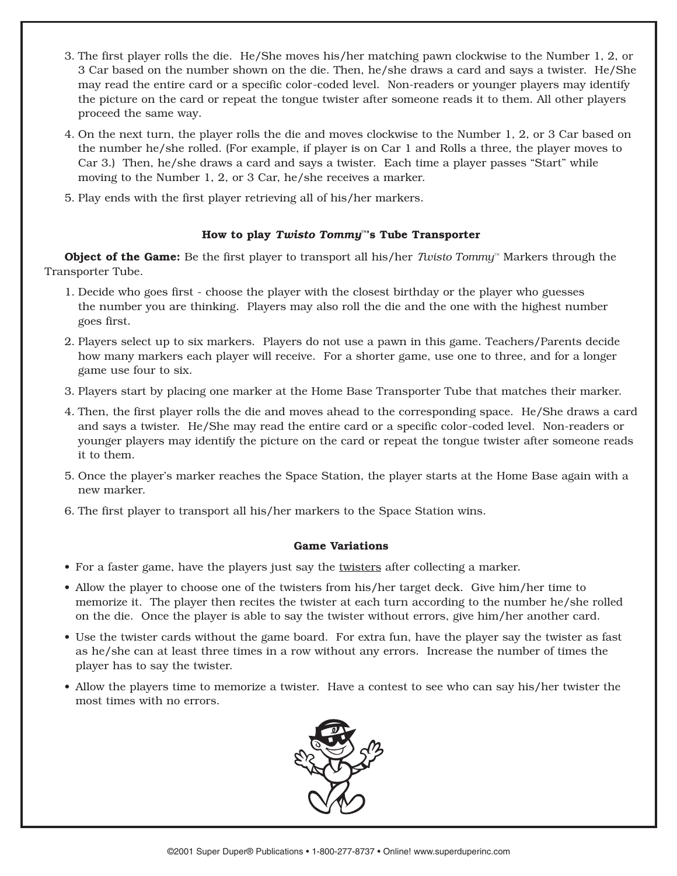- 3. The first player rolls the die. He/She moves his/her matching pawn clockwise to the Number 1, 2, or 3 Car based on the number shown on the die. Then, he/she draws a card and says a twister. He/She may read the entire card or a specific color-coded level. Non-readers or younger players may identify the picture on the card or repeat the tongue twister after someone reads it to them. All other players proceed the same way.
- 4. On the next turn, the player rolls the die and moves clockwise to the Number 1, 2, or 3 Car based on the number he/she rolled. (For example, if player is on Car 1 and Rolls a three, the player moves to Car 3.) Then, he/she draws a card and says a twister. Each time a player passes "Start" while moving to the Number 1, 2, or 3 Car, he/she receives a marker.
- 5. Play ends with the first player retrieving all of his/her markers.

#### **How to play** *Twisto Tommy™***'s Tube Transporter**

**Object of the Game:** Be the first player to transport all his/her *Twisto Tommy™* Markers through the Transporter Tube.

- 1. Decide who goes first choose the player with the closest birthday or the player who guesses the number you are thinking. Players may also roll the die and the one with the highest number goes first.
- 2. Players select up to six markers. Players do not use a pawn in this game. Teachers/Parents decide how many markers each player will receive. For a shorter game, use one to three, and for a longer game use four to six.
- 3. Players start by placing one marker at the Home Base Transporter Tube that matches their marker.
- 4. Then, the first player rolls the die and moves ahead to the corresponding space. He/She draws a card and says a twister. He/She may read the entire card or a specific color-coded level. Non-readers or younger players may identify the picture on the card or repeat the tongue twister after someone reads it to them.
- 5. Once the player's marker reaches the Space Station, the player starts at the Home Base again with a new marker.
- 6. The first player to transport all his/her markers to the Space Station wins.

#### **Game Variations**

- For a faster game, have the players just say the twisters after collecting a marker.
- Allow the player to choose one of the twisters from his/her target deck. Give him/her time to memorize it. The player then recites the twister at each turn according to the number he/she rolled on the die. Once the player is able to say the twister without errors, give him/her another card.
- Use the twister cards without the game board. For extra fun, have the player say the twister as fast as he/she can at least three times in a row without any errors. Increase the number of times the player has to say the twister.
- Allow the players time to memorize a twister. Have a contest to see who can say his/her twister the most times with no errors.